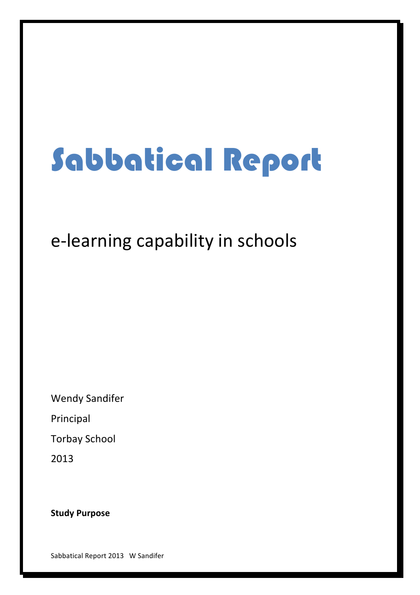# Sabbatical Report

# e-learning capability in schools

**Wendy Sandifer** 

Principal

**Torbay School** 

2013

**Study Purpose** 

Sabbatical Report 2013 W Sandifer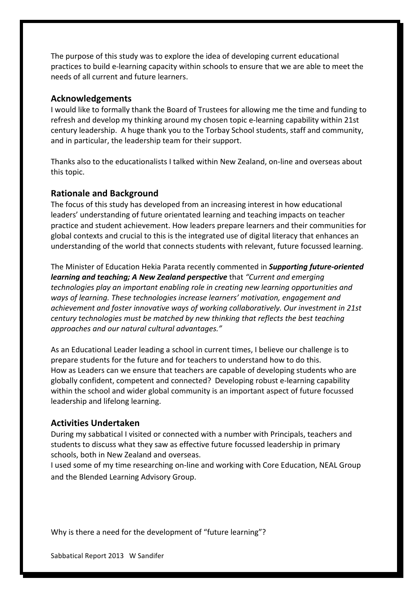The purpose of this study was to explore the idea of developing current educational practices to build e-learning capacity within schools to ensure that we are able to meet the needs of all current and future learners.

#### **Acknowledgements**

I would like to formally thank the Board of Trustees for allowing me the time and funding to refresh and develop my thinking around my chosen topic e-learning capability within 21st century leadership. A huge thank you to the Torbay School students, staff and community, and in particular, the leadership team for their support.

Thanks also to the educationalists I talked within New Zealand, on-line and overseas about this topic.

#### **Rationale and Background**

The focus of this study has developed from an increasing interest in how educational leaders' understanding of future orientated learning and teaching impacts on teacher practice and student achievement. How leaders prepare learners and their communities for global contexts and crucial to this is the integrated use of digital literacy that enhances an understanding of the world that connects students with relevant, future focussed learning.

The Minister of Education Hekia Parata recently commented in *Supporting future-oriented learning and teaching;* A New Zealand perspective that "Current and emerging technologies play an important enabling role in creating new learning opportunities and ways of learning. These technologies increase learners' motivation, engagement and achievement and foster innovative ways of working collaboratively. Our investment in 21st *century technologies must be matched by new thinking that reflects the best teaching approaches(and(our(natural(cultural(advantages."*

As an Educational Leader leading a school in current times, I believe our challenge is to prepare students for the future and for teachers to understand how to do this. How as Leaders can we ensure that teachers are capable of developing students who are globally confident, competent and connected? Developing robust e-learning capability within the school and wider global community is an important aspect of future focussed leadership and lifelong learning.

#### **Activities Undertaken**

During my sabbatical I visited or connected with a number with Principals, teachers and students to discuss what they saw as effective future focussed leadership in primary schools, both in New Zealand and overseas.

I used some of my time researching on-line and working with Core Education, NEAL Group and the Blended Learning Advisory Group.

Why is there a need for the development of "future learning"?

Sabbatical Report 2013 W Sandifer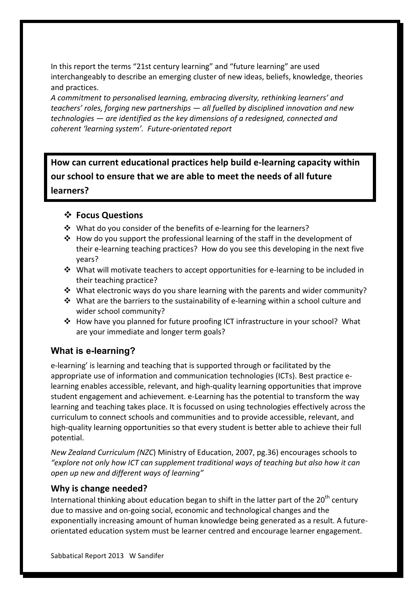In this report the terms "21st century learning" and "future learning" are used interchangeably to describe an emerging cluster of new ideas, beliefs, knowledge, theories and practices.

A commitment to personalised learning, embracing diversity, rethinking learners' and  $teaches'$  roles, forging new partnerships  $-$  all fuelled by disciplined innovation and new *technologies — are identified as the key dimensions of a redesigned, connected and* coherent 'learning system'. Future-orientated report

How can current educational practices help build e-learning capacity within **our school to ensure that we are able to meet the needs of all future learners?**

# **❖ Focus Questions**

- $*$  What do you consider of the benefits of e-learning for the learners?
- $\cdot$  How do you support the professional learning of the staff in the development of their e-learning teaching practices? How do you see this developing in the next five years?
- $\cdot$  What will motivate teachers to accept opportunities for e-learning to be included in their teaching practice?
- What electronic ways do you share learning with the parents and wider community?
- $\cdot$  What are the barriers to the sustainability of e-learning within a school culture and wider school community?
- $\cdot$  How have you planned for future proofing ICT infrastructure in your school? What are your immediate and longer term goals?

# **What is e-learning?**

e-learning' is learning and teaching that is supported through or facilitated by the appropriate use of information and communication technologies (ICTs). Best practice elearning enables accessible, relevant, and high-quality learning opportunities that improve student engagement and achievement. e-Learning has the potential to transform the way learning and teaching takes place. It is focussed on using technologies effectively across the curriculum to connect schools and communities and to provide accessible, relevant, and high-quality learning opportunities so that every student is better able to achieve their full potential.

*New Zealand Curriculum (NZC)* Ministry of Education, 2007, pg.36) encourages schools to "explore not only how ICT can supplement traditional ways of teaching but also how it can *open up new and different ways of learning"* 

# **Why is change needed?**

International thinking about education began to shift in the latter part of the 20<sup>th</sup> century due to massive and on-going social, economic and technological changes and the exponentially increasing amount of human knowledge being generated as a result. A futureorientated education system must be learner centred and encourage learner engagement.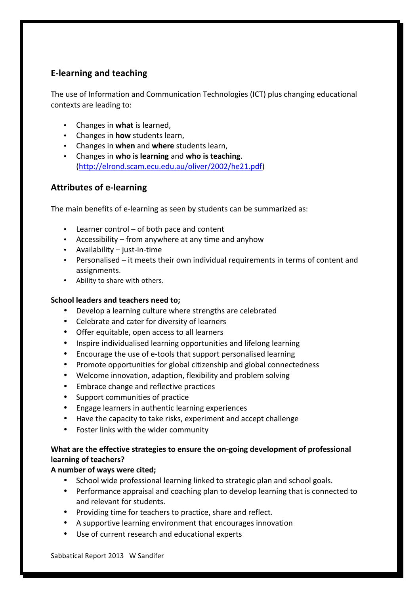# **E-learning and teaching**

The use of Information and Communication Technologies (ICT) plus changing educational contexts are leading to:

- Changes in **what** is learned,
- Changes in **how** students learn,
- Changes in when and where students learn,
- Changes in **who is learning** and who is teaching. (http://elrond.scam.ecu.edu.au/oliver/2002/he21.pdf)

# **Attributes of e-learning**

The main benefits of e-learning as seen by students can be summarized as:

- Learner control of both pace and content
- Accessibility from anywhere at any time and anyhow
- Availability  $-$  just-in-time
- Personalised it meets their own individual requirements in terms of content and assignments.
- Ability to share with others.

#### School leaders and teachers need to;

- Develop a learning culture where strengths are celebrated
- Celebrate and cater for diversity of learners
- Offer equitable, open access to all learners
- Inspire individualised learning opportunities and lifelong learning
- Encourage the use of e-tools that support personalised learning
- Promote opportunities for global citizenship and global connectedness
- Welcome innovation, adaption, flexibility and problem solving
- Embrace change and reflective practices
- Support communities of practice
- Engage learners in authentic learning experiences
- Have the capacity to take risks, experiment and accept challenge
- Foster links with the wider community

# What are the effective strategies to ensure the on-going development of professional **learning of teachers?**

# A number of ways were cited;

- School wide professional learning linked to strategic plan and school goals.
- Performance appraisal and coaching plan to develop learning that is connected to and relevant for students.
- Providing time for teachers to practice, share and reflect.
- A supportive learning environment that encourages innovation
- Use of current research and educational experts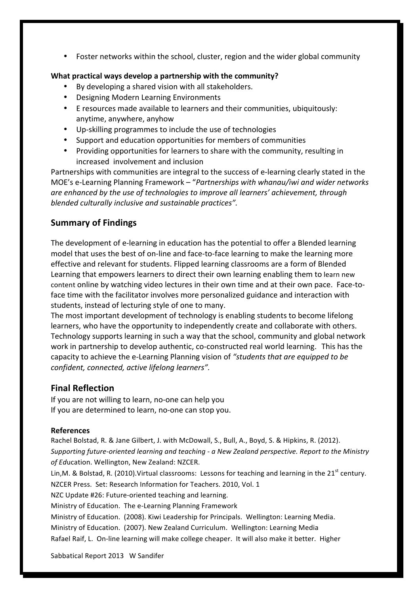• Foster networks within the school, cluster, region and the wider global community

#### **What practical ways develop a partnership with the community?**

- By developing a shared vision with all stakeholders.
- Designing Modern Learning Environments
- E resources made available to learners and their communities, ubiquitously: anytime, anywhere, anyhow
- Up-skilling programmes to include the use of technologies
- Support and education opportunities for members of communities
- Providing opportunities for learners to share with the community, resulting in increased involvement and inclusion

Partnerships with communities are integral to the success of e-learning clearly stated in the MOE's e-Learning Planning Framework – "Partnerships with whanau/iwi and wider networks *are enhanced by the use of technologies to improve all learners' achievement, through* blended culturally inclusive and sustainable practices".

### **Summary of Findings**

The development of e-learning in education has the potential to offer a Blended learning model that uses the best of on-line and face-to-face learning to make the learning more effective and relevant for students. Flipped learning classrooms are a form of Blended Learning that empowers learners to direct their own learning enabling them to learn new content online by watching video lectures in their own time and at their own pace. Face-toface time with the facilitator involves more personalized guidance and interaction with students, instead of lecturing style of one to many.

The most important development of technology is enabling students to become lifelong learners, who have the opportunity to independently create and collaborate with others. Technology supports learning in such a way that the school, community and global network work in partnership to develop authentic, co-constructed real world learning. This has the capacity to achieve the e-Learning Planning vision of "students that are equipped to be *confident, connected, active lifelong learners".* 

### **Final Reflection**

If vou are not willing to learn, no-one can help you If you are determined to learn, no-one can stop you.

#### **References**

Rachel Bolstad, R. & Jane Gilbert, J. with McDowall, S., Bull, A., Boyd, S. & Hipkins, R. (2012). *Supporting future-oriented learning and teaching - a New Zealand perspective. Report to the Ministry* of Education. Wellington, New Zealand: NZCER.

Lin,M. & Bolstad, R. (2010). Virtual classrooms: Lessons for teaching and learning in the 21<sup>st</sup> century. NZCER Press. Set: Research Information for Teachers. 2010, Vol. 1

NZC Update #26: Future-oriented teaching and learning.

Ministry of Education. The e-Learning Planning Framework

Ministry of Education. (2008). Kiwi Leadership for Principals. Wellington: Learning Media. Ministry of Education. (2007). New Zealand Curriculum. Wellington: Learning Media Rafael Raif, L. On-line learning will make college cheaper. It will also make it better. Higher

Sabbatical Report 2013 W Sandifer